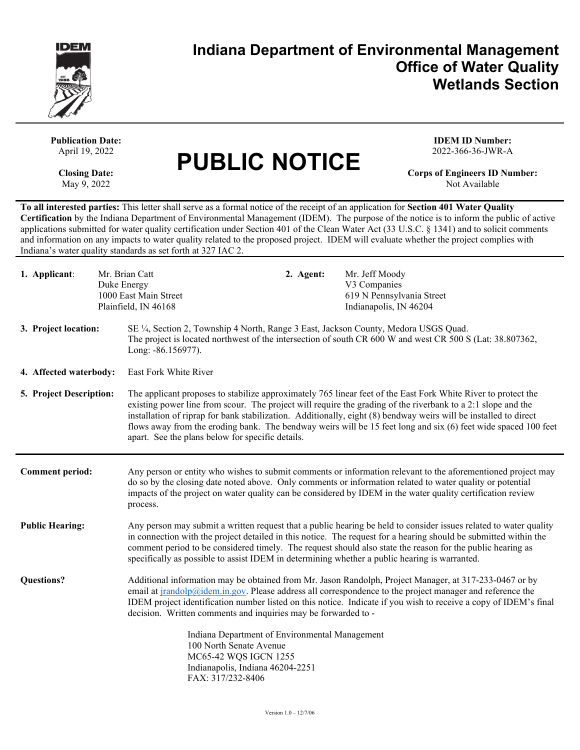

**India**

## **Indiana Department of Environmental Management Office of Water Quality Wetlands Section**

| <b>Publication Date:</b><br>April 19, 2022<br><b>Closing Date:</b><br>May 9, 2022                                                                                                                                                                                                                                                                                                                                                                                                                                                                                                                                                      |  | <b>PUBLIC NOTICE</b>                                                                                                                                                                                                                                                                                                                                                                                                                                                                                                    |                                                                                       | <b>IDEM ID Number:</b><br>2022-366-36-JWR-A<br><b>Corps of Engineers ID Number:</b><br>Not Available |  |
|----------------------------------------------------------------------------------------------------------------------------------------------------------------------------------------------------------------------------------------------------------------------------------------------------------------------------------------------------------------------------------------------------------------------------------------------------------------------------------------------------------------------------------------------------------------------------------------------------------------------------------------|--|-------------------------------------------------------------------------------------------------------------------------------------------------------------------------------------------------------------------------------------------------------------------------------------------------------------------------------------------------------------------------------------------------------------------------------------------------------------------------------------------------------------------------|---------------------------------------------------------------------------------------|------------------------------------------------------------------------------------------------------|--|
| To all interested parties: This letter shall serve as a formal notice of the receipt of an application for Section 401 Water Quality<br>Certification by the Indiana Department of Environmental Management (IDEM). The purpose of the notice is to inform the public of active<br>applications submitted for water quality certification under Section 401 of the Clean Water Act (33 U.S.C. § 1341) and to solicit comments<br>and information on any impacts to water quality related to the proposed project. IDEM will evaluate whether the project complies with<br>Indiana's water quality standards as set forth at 327 IAC 2. |  |                                                                                                                                                                                                                                                                                                                                                                                                                                                                                                                         |                                                                                       |                                                                                                      |  |
| Mr. Brian Catt<br>1. Applicant:<br>Duke Energy                                                                                                                                                                                                                                                                                                                                                                                                                                                                                                                                                                                         |  | 2. Agent:<br>1000 East Main Street<br>Plainfield, IN 46168                                                                                                                                                                                                                                                                                                                                                                                                                                                              | Mr. Jeff Moody<br>V3 Companies<br>619 N Pennsylvania Street<br>Indianapolis, IN 46204 |                                                                                                      |  |
| 3. Project location:                                                                                                                                                                                                                                                                                                                                                                                                                                                                                                                                                                                                                   |  | SE 1/4, Section 2, Township 4 North, Range 3 East, Jackson County, Medora USGS Quad.<br>The project is located northwest of the intersection of south CR 600 W and west CR 500 S (Lat: 38.807362,<br>Long: -86.156977).                                                                                                                                                                                                                                                                                                 |                                                                                       |                                                                                                      |  |
| 4. Affected waterbody:                                                                                                                                                                                                                                                                                                                                                                                                                                                                                                                                                                                                                 |  | East Fork White River                                                                                                                                                                                                                                                                                                                                                                                                                                                                                                   |                                                                                       |                                                                                                      |  |
| 5. Project Description:                                                                                                                                                                                                                                                                                                                                                                                                                                                                                                                                                                                                                |  | The applicant proposes to stabilize approximately 765 linear feet of the East Fork White River to protect the<br>existing power line from scour. The project will require the grading of the riverbank to a 2:1 slope and the<br>installation of riprap for bank stabilization. Additionally, eight (8) bendway weirs will be installed to direct<br>flows away from the eroding bank. The bendway weirs will be 15 feet long and six (6) feet wide spaced 100 feet<br>apart. See the plans below for specific details. |                                                                                       |                                                                                                      |  |
| <b>Comment period:</b>                                                                                                                                                                                                                                                                                                                                                                                                                                                                                                                                                                                                                 |  | Any person or entity who wishes to submit comments or information relevant to the aforementioned project may<br>do so by the closing date noted above. Only comments or information related to water quality or potential<br>impacts of the project on water quality can be considered by IDEM in the water quality certification review<br>process.                                                                                                                                                                    |                                                                                       |                                                                                                      |  |
| <b>Public Hearing:</b>                                                                                                                                                                                                                                                                                                                                                                                                                                                                                                                                                                                                                 |  | Any person may submit a written request that a public hearing be held to consider issues related to water quality<br>in connection with the project detailed in this notice. The request for a hearing should be submitted within the<br>comment period to be considered timely. The request should also state the reason for the public hearing as<br>specifically as possible to assist IDEM in determining whether a public hearing is warranted.                                                                    |                                                                                       |                                                                                                      |  |
| <b>Questions?</b>                                                                                                                                                                                                                                                                                                                                                                                                                                                                                                                                                                                                                      |  | Additional information may be obtained from Mr. Jason Randolph, Project Manager, at 317-233-0467 or by<br>email at jrandolp@idem.in.gov. Please address all correspondence to the project manager and reference the<br>IDEM project identification number listed on this notice. Indicate if you wish to receive a copy of IDEM's final<br>decision. Written comments and inquiries may be forwarded to -                                                                                                               |                                                                                       |                                                                                                      |  |
|                                                                                                                                                                                                                                                                                                                                                                                                                                                                                                                                                                                                                                        |  | Indiana Department of Environmental Management<br>100 North Senate Avenue<br>MC65-42 WQS IGCN 1255<br>Indianapolis, Indiana 46204-2251<br>FAX: 317/232-8406                                                                                                                                                                                                                                                                                                                                                             |                                                                                       |                                                                                                      |  |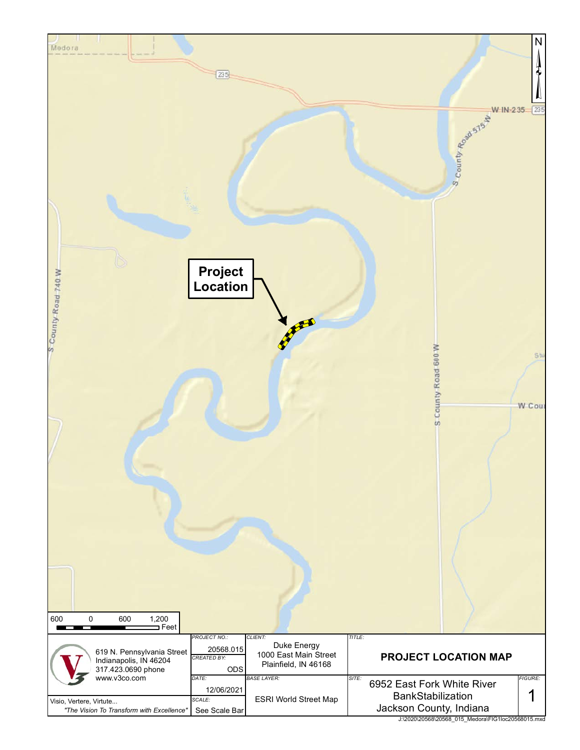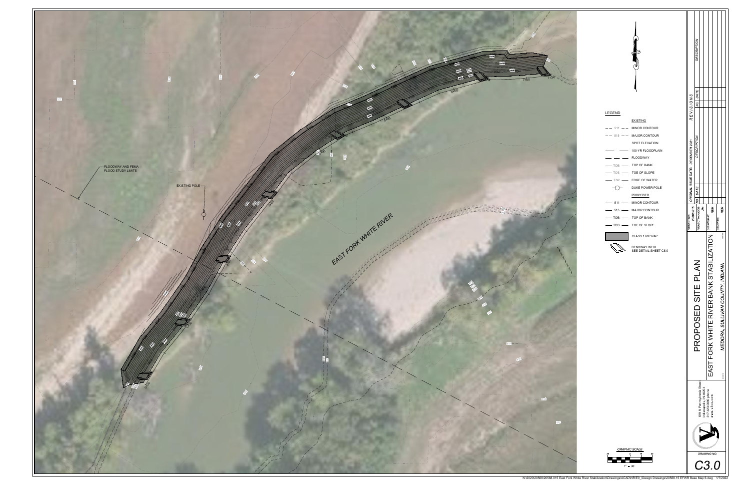